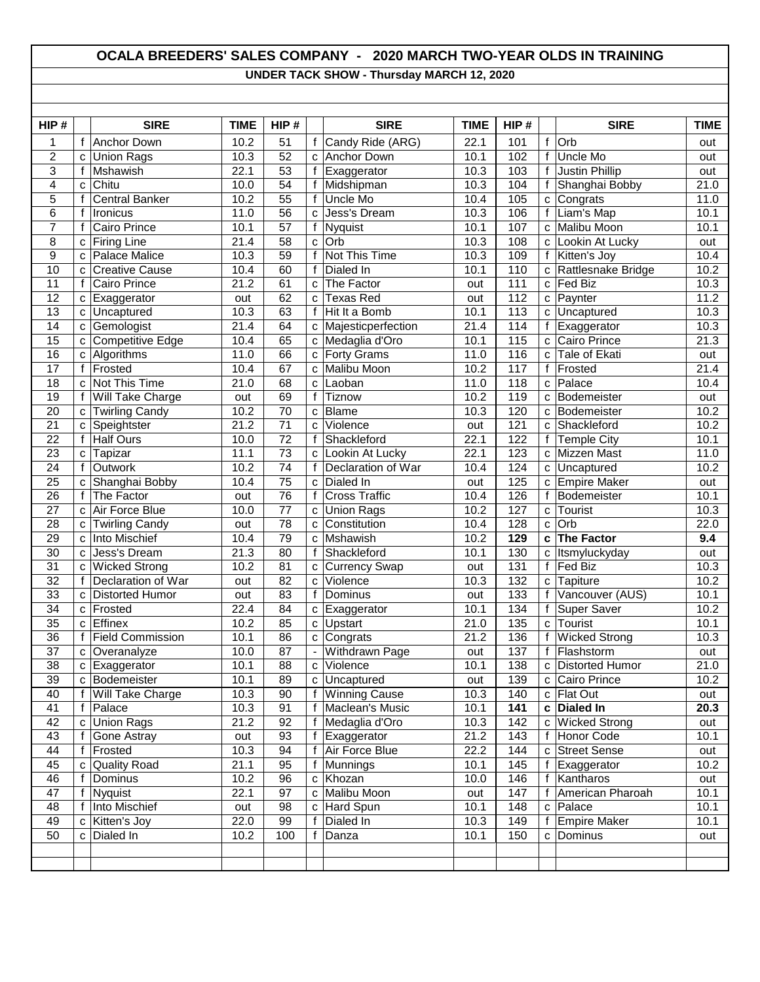## **OCALA BREEDERS' SALES COMPANY - 2020 MARCH TWO-YEAR OLDS IN TRAINING UNDER TACK SHOW - Thursday MARCH 12, 2020**

| HIP#            |                   | <b>SIRE</b>                    | <b>TIME</b>  | HIP#            |                | <b>SIRE</b>                | <b>TIME</b>  | HIP#             |              | <b>SIRE</b>                  | <b>TIME</b> |
|-----------------|-------------------|--------------------------------|--------------|-----------------|----------------|----------------------------|--------------|------------------|--------------|------------------------------|-------------|
| 1               | f                 | Anchor Down                    | 10.2         | 51              | f              | Candy Ride (ARG)           | 22.1         | 101              | f            | Orb                          | out         |
| $\overline{c}$  | C                 | <b>Union Rags</b>              | 10.3         | 52              | $\mathbf{C}$   | Anchor Down                | 10.1         | 102              | f            | Uncle Mo                     | out         |
| 3               | f                 | Mshawish                       | 22.1         | 53              | f              | Exaggerator                | 10.3         | 103              | $\mathsf{f}$ | <b>Justin Phillip</b>        | out         |
| $\overline{4}$  | C                 | Chitu                          | 10.0         | $\overline{54}$ | f              | Midshipman                 | 10.3         | 104              | f            | Shanghai Bobby               | 21.0        |
| 5               | f                 | <b>Central Banker</b>          | 10.2         | 55              | f              | Uncle Mo                   | 10.4         | 105              | C            | Congrats                     | 11.0        |
| $\overline{6}$  | f                 | Ironicus                       | 11.0         | 56              | C              | Jess's Dream               | 10.3         | 106              | f            | Liam's Map                   | 10.1        |
| 7               | f                 | Cairo Prince                   | 10.1         | 57              | f              | Nyquist                    | 10.1         | 107              | C            | Malibu Moon                  | 10.1        |
| 8               | C                 | <b>Firing Line</b>             | 21.4         | 58              | C              | Orb                        | 10.3         | 108              | с            | Lookin At Lucky              | out         |
| 9               | C                 | Palace Malice                  | 10.3         | $\overline{59}$ | f              | Not This Time              | 10.3         | 109              | f            | Kitten's Joy                 | 10.4        |
| 10              | C                 | <b>Creative Cause</b>          | 10.4         | 60              | f              | Dialed In                  | 10.1         | 110              | C            | Rattlesnake Bridge           | 10.2        |
| 11              | f                 | Cairo Prince                   | 21.2         | 61              | $\mathbf{C}$   | The Factor                 | out          | 111              | C            | Fed Biz                      | 10.3        |
| 12              | C                 | Exaggerator                    | out          | 62              | C              | <b>Texas Red</b>           | out          | 112              | C            | Paynter                      | 11.2        |
| 13              | C                 | Uncaptured                     | 10.3         | 63              | f              | Hit It a Bomb              | 10.1         | 113              | C            | Uncaptured                   | 10.3        |
| $\overline{14}$ | C                 | Gemologist                     | 21.4         | 64              | C              | Majesticperfection         | 21.4         | 114              | f            | Exaggerator                  | 10.3        |
| 15              | C                 | Competitive Edge               | 10.4         | 65              | C              | Medaglia d'Oro             | 10.1         | 115              | C            | Cairo Prince                 | 21.3        |
| $\overline{16}$ | C                 | Algorithms                     | 11.0         | 66              | c              | <b>Forty Grams</b>         | 11.0         | 116              | C            | Tale of Ekati                | out         |
| 17              | $\mathsf{f}$      | Frosted                        | 10.4         | 67              | C              | Malibu Moon                | 10.2         | 117              | $\mathsf{f}$ | Frosted                      | 21.4        |
| 18              | C                 | Not This Time                  | 21.0         | 68              | C              | Laoban                     | 11.0         | 118              | C            | Palace                       | 10.4        |
| 19              | f                 | Will Take Charge               | out          | 69              | f              | Tiznow                     | 10.2         | 119              | C            | Bodemeister                  | out         |
| 20              | C                 | <b>Twirling Candy</b>          | 10.2         | 70              | $\mathbf{C}$   | Blame                      | 10.3         | 120              | C            | Bodemeister                  | 10.2        |
| 21              | C                 | Speightster                    | 21.2         | $\overline{71}$ | C              | Violence                   | out          | 121              | C            | Shackleford                  | 10.2        |
| 22              | $\mathsf{f}$      | <b>Half Ours</b>               | 10.0         | 72              | f              | Shackleford                | 22.1         | 122              | f            | <b>Temple City</b>           | 10.1        |
| 23              | C                 | Tapizar                        | 11.1         | 73              | c              | Lookin At Lucky            | 22.1         | 123              | C            | <b>Mizzen Mast</b>           | 11.0        |
| 24              | f                 | Outwork                        | 10.2         | 74              | f              | Declaration of War         | 10.4         | 124              | C            | Uncaptured                   | 10.2        |
| 25              | C                 | Shanghai Bobby                 | 10.4         | 75              | C              | Dialed In                  | out          | 125              | C            | <b>Empire Maker</b>          | out         |
| 26              | f                 | The Factor                     | out          | $\overline{76}$ | f              | <b>Cross Traffic</b>       | 10.4         | 126              |              | Bodemeister                  | 10.1        |
| 27              | C                 | Air Force Blue                 | 10.0         | 77              | c              | <b>Union Rags</b>          | 10.2         | 127              | C            | Tourist                      | 10.3        |
| 28              | C                 | <b>Twirling Candy</b>          | out          | 78              | C              | Constitution               | 10.4         | 128              | $\mathbf{C}$ | Orb                          | 22.0        |
| 29              | C                 | Into Mischief                  | 10.4         | 79              | C              | Mshawish                   | 10.2         | 129              | C            | <b>The Factor</b>            | 9.4         |
| 30              | C                 | Jess's Dream                   | 21.3         | 80              | $\mathsf{f}$   | Shackleford                | 10.1         | 130              | C            | Itsmyluckyday                | out         |
| 31              | C                 | <b>Wicked Strong</b>           | 10.2         | 81              | C              | <b>Currency Swap</b>       | out          | 131              | f            | Fed Biz                      | 10.3        |
| 32              | $\mathsf{f}$      | Declaration of War             | out          | 82              | C              | Violence                   | 10.3         | 132              | C            | Tapiture                     | 10.2        |
| 33              | C                 | <b>Distorted Humor</b>         | out          | 83              | f              | Dominus                    | out          | 133              | f            | Vancouver (AUS)              | 10.1        |
| 34              | C                 | Frosted                        | 22.4         | 84              | c              | Exaggerator                | 10.1         | 134              | f            | <b>Super Saver</b>           | 10.2        |
| 35              | C                 | <b>Effinex</b>                 | 10.2         | 85              | $\mathbf{C}$   | Upstart                    | 21.0         | 135              | C            | Tourist                      | 10.1        |
| 36              | $\mathsf{f}$      | <b>Field Commission</b>        | 10.1         | 86              | c              | Congrats                   | 21.2         | 136              | $\mathbf{f}$ | <b>Wicked Strong</b>         | 10.3        |
| 37              | C                 | Overanalyze                    | 10.0         | 87              | $\blacksquare$ | <b>Withdrawn Page</b>      | out          | 137              | $\mathbf{f}$ | Flashstorm                   | out         |
| $\overline{38}$ |                   | c Exaggerator                  | 10.1         | $\overline{88}$ |                | c Violence                 | 10.1         | $\overline{138}$ |              | c Distorted Humor            | 21.0        |
| 39              | C                 | Bodemeister                    | 10.1         | 89              | c              | Uncaptured                 | out          | 139              | С            | Cairo Prince                 | 10.2        |
| 40              | f<br>$\mathsf{f}$ | Will Take Charge               | 10.3         | 90              | f<br>f         | <b>Winning Cause</b>       | 10.3<br>10.1 | 140              | c            | Flat Out<br><b>Dialed In</b> | out<br>20.3 |
| 41<br>42        |                   | Palace                         | 10.3         | 91<br>92        | f              | Maclean's Music            | 10.3         | 141              | C            | <b>Wicked Strong</b>         |             |
| 43              | $\mathbf{C}$<br>f | <b>Union Rags</b>              | 21.2         | 93              | f              | Medaglia d'Oro             | 21.2         | 142              | C<br>f       | Honor Code                   | out<br>10.1 |
|                 |                   | Gone Astray                    | out          |                 |                | Exaggerator                |              | 143              |              |                              |             |
| 44<br>45        | f                 | Frosted<br><b>Quality Road</b> | 10.3<br>21.1 | 94<br>95        | f<br>f         | Air Force Blue<br>Munnings | 22.2<br>10.1 | 144<br>145       | C            | <b>Street Sense</b>          | out<br>10.2 |
| 46              | C<br>f            | Dominus                        | 10.2         | 96              |                | Khozan                     | 10.0         | 146              | f            | Exaggerator<br>Kantharos     |             |
| 47              | f                 | Nyquist                        | 22.1         | 97              | c              | c Malibu Moon              |              | 147              | $\mathbf{f}$ | American Pharoah             | out<br>10.1 |
| 48              | $\mathbf{f}$      | Into Mischief                  | out          | 98              |                | c Hard Spun                | out<br>10.1  | 148              | $\mathbf{C}$ | Palace                       | 10.1        |
| 49              | c                 | Kitten's Joy                   | 22.0         | 99              | f              | Dialed In                  | 10.3         | 149              | $\mathsf{f}$ | <b>Empire Maker</b>          | 10.1        |
| 50              | C                 | Dialed In                      | 10.2         | 100             | f              | Danza                      | 10.1         | 150              | C            | Dominus                      | out         |
|                 |                   |                                |              |                 |                |                            |              |                  |              |                              |             |
|                 |                   |                                |              |                 |                |                            |              |                  |              |                              |             |
|                 |                   |                                |              |                 |                |                            |              |                  |              |                              |             |